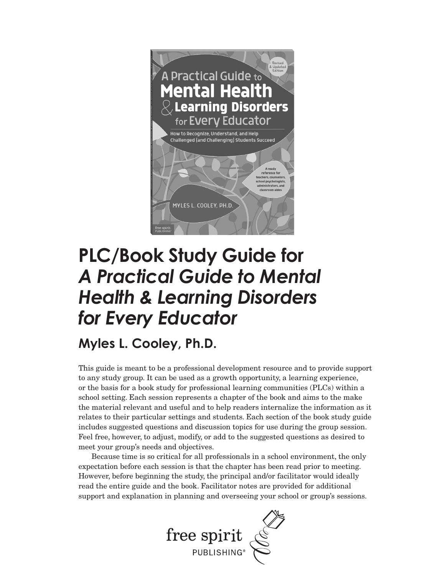

#### **PLC/Book Study Guide for**  *A Practical Guide to Mental Health & Learning Disorders for Every Educator*

**Myles L. Cooley, Ph.D.**

This guide is meant to be a professional development resource and to provide support to any study group. It can be used as a growth opportunity, a learning experience, or the basis for a book study for professional learning communities (PLCs) within a school setting. Each session represents a chapter of the book and aims to the make the material relevant and useful and to help readers internalize the information as it relates to their particular settings and students. Each section of the book study guide includes suggested questions and discussion topics for use during the group session. Feel free, however, to adjust, modify, or add to the suggested questions as desired to meet your group's needs and objectives.

Because time is so critical for all professionals in a school environment, the only expectation before each session is that the chapter has been read prior to meeting. However, before beginning the study, the principal and/or facilitator would ideally read the entire guide and the book. Facilitator notes are provided for additional support and explanation in planning and overseeing your school or group's sessions.

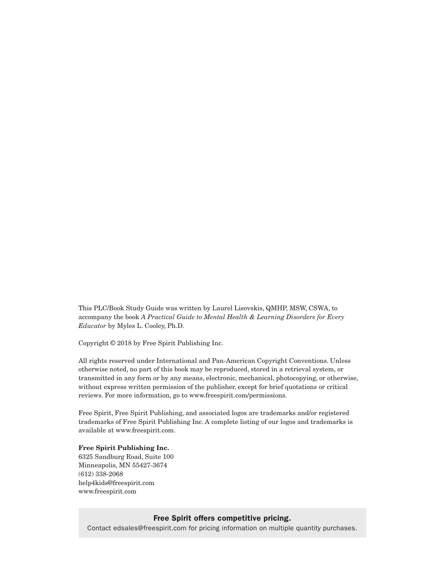This PLC/Book Study Guide was written by Laurel Lisovskis, QMHP, MSW, CSWA, to accompany the book *A Practical Guide to Mental Health & Learning Disorders for Every Educator* by Myles L. Cooley, Ph.D.

Copyright © 2018 by Free Spirit Publishing Inc.

All rights reserved under International and Pan-American Copyright Conventions. Unless otherwise noted, no part of this book may be reproduced, stored in a retrieval system, or transmitted in any form or by any means, electronic, mechanical, photocopying, or otherwise, without express written permission of the publisher, except for brief quotations or critical reviews. For more information, go to www.freespirit.com/permissions.

Free Spirit, Free Spirit Publishing, and associated logos are trademarks and/or registered trademarks of Free Spirit Publishing Inc. A complete listing of our logos and trademarks is available at www.freespirit.com.

#### **Free Spirit Publishing Inc.**

6325 Sandburg Road, Suite 100 Minneapolis, MN 55427-3674 (612) 338-2068 help4kids@freespirit.com www.freespirit.com

#### Free Spirit offers competitive pricing.

Contact edsales@freespirit.com for pricing information on multiple quantity purchases.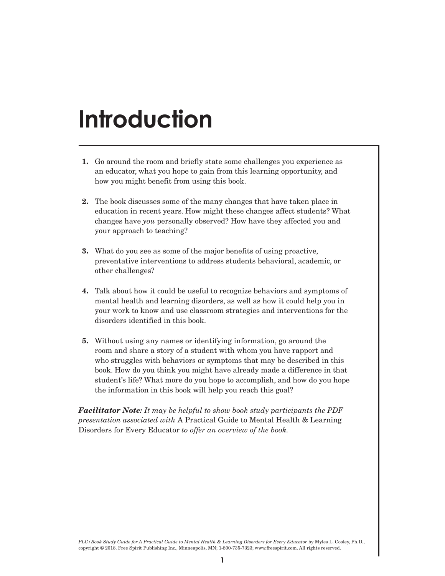#### **Introduction**

- **1.** Go around the room and briefly state some challenges you experience as an educator, what you hope to gain from this learning opportunity, and how you might benefit from using this book.
- **2.** The book discusses some of the many changes that have taken place in education in recent years. How might these changes affect students? What changes have *you* personally observed? How have they affected you and your approach to teaching?
- **3.** What do you see as some of the major benefits of using proactive, preventative interventions to address students behavioral, academic, or other challenges?
- **4.** Talk about how it could be useful to recognize behaviors and symptoms of mental health and learning disorders, as well as how it could help you in your work to know and use classroom strategies and interventions for the disorders identified in this book.
- **5.** Without using any names or identifying information, go around the room and share a story of a student with whom you have rapport and who struggles with behaviors or symptoms that may be described in this book. How do you think you might have already made a difference in that student's life? What more do you hope to accomplish, and how do you hope the information in this book will help you reach this goal?

*Facilitator Note: It may be helpful to show book study participants the PDF presentation associated with* A Practical Guide to Mental Health & Learning Disorders for Every Educator *to offer an overview of the book.*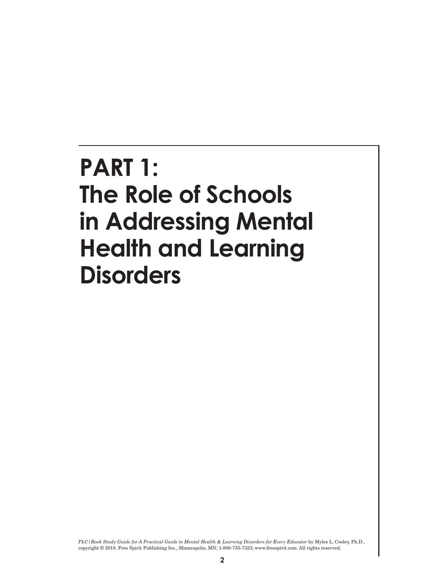#### **PART 1: The Role of Schools in Addressing Mental Health and Learning Disorders**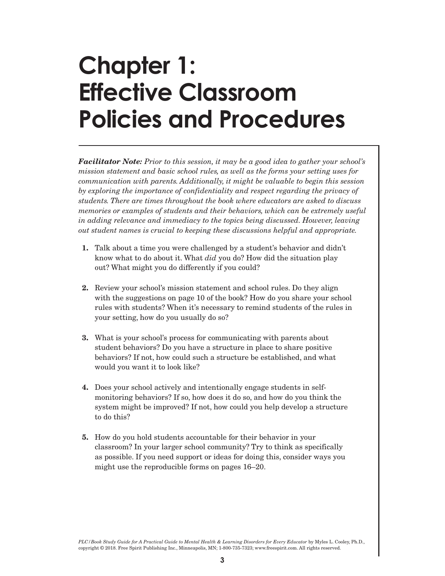### **Chapter 1: Effective Classroom Policies and Procedures**

*Facilitator Note: Prior to this session, it may be a good idea to gather your school's mission statement and basic school rules, as well as the forms your setting uses for communication with parents. Additionally, it might be valuable to begin this session*  by exploring the importance of confidentiality and respect regarding the privacy of *students. There are times throughout the book where educators are asked to discuss memories or examples of students and their behaviors, which can be extremely useful in adding relevance and immediacy to the topics being discussed. However, leaving out student names is crucial to keeping these discussions helpful and appropriate.* 

- **1.** Talk about a time you were challenged by a student's behavior and didn't know what to do about it. What *did* you do? How did the situation play out? What might you do differently if you could?
- **2.** Review your school's mission statement and school rules. Do they align with the suggestions on page 10 of the book? How do you share your school rules with students? When it's necessary to remind students of the rules in your setting, how do you usually do so?
- **3.** What is your school's process for communicating with parents about student behaviors? Do you have a structure in place to share positive behaviors? If not, how could such a structure be established, and what would you want it to look like?
- **4.** Does your school actively and intentionally engage students in selfmonitoring behaviors? If so, how does it do so, and how do you think the system might be improved? If not, how could you help develop a structure to do this?
- **5.** How do you hold students accountable for their behavior in your classroom? In your larger school community? Try to think as specifically as possible. If you need support or ideas for doing this, consider ways you might use the reproducible forms on pages 16–20.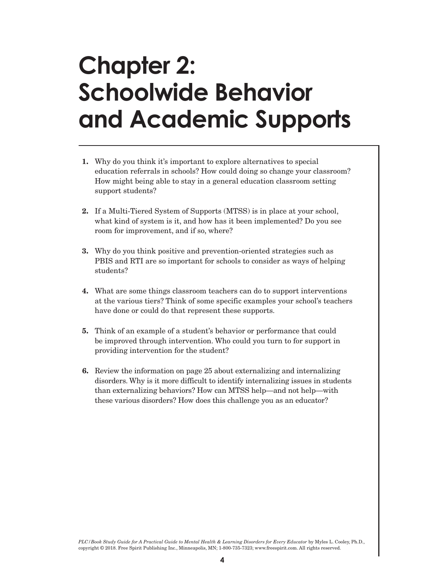### **Chapter 2: Schoolwide Behavior and Academic Supports**

- **1.** Why do you think it's important to explore alternatives to special education referrals in schools? How could doing so change your classroom? How might being able to stay in a general education classroom setting support students?
- **2.** If a Multi-Tiered System of Supports (MTSS) is in place at your school, what kind of system is it, and how has it been implemented? Do you see room for improvement, and if so, where?
- **3.** Why do you think positive and prevention-oriented strategies such as PBIS and RTI are so important for schools to consider as ways of helping students?
- **4.** What are some things classroom teachers can do to support interventions at the various tiers? Think of some specific examples your school's teachers have done or could do that represent these supports.
- **5.** Think of an example of a student's behavior or performance that could be improved through intervention. Who could you turn to for support in providing intervention for the student?
- **6.** Review the information on page 25 about externalizing and internalizing disorders. Why is it more difficult to identify internalizing issues in students than externalizing behaviors? How can MTSS help—and not help—with these various disorders? How does this challenge you as an educator?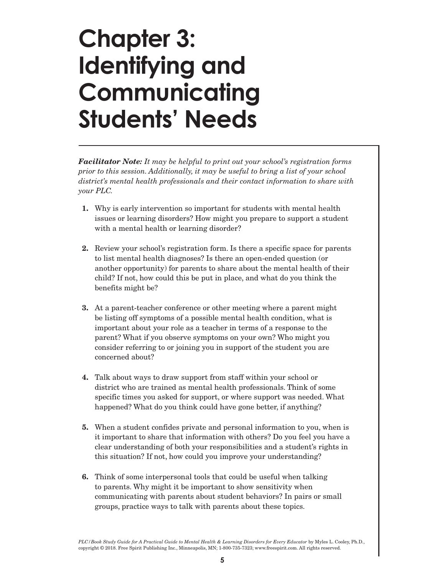### **Chapter 3: Identifying and Communicating Students' Needs**

*Facilitator Note: It may be helpful to print out your school's registration forms prior to this session. Additionally, it may be useful to bring a list of your school district's mental health professionals and their contact information to share with your PLC.*

- **1.** Why is early intervention so important for students with mental health issues or learning disorders? How might you prepare to support a student with a mental health or learning disorder?
- **2.** Review your school's registration form. Is there a specific space for parents to list mental health diagnoses? Is there an open-ended question (or another opportunity) for parents to share about the mental health of their child? If not, how could this be put in place, and what do you think the benefits might be?
- **3.** At a parent-teacher conference or other meeting where a parent might be listing off symptoms of a possible mental health condition, what is important about your role as a teacher in terms of a response to the parent? What if you observe symptoms on your own? Who might you consider referring to or joining you in support of the student you are concerned about?
- **4.** Talk about ways to draw support from staff within your school or district who are trained as mental health professionals. Think of some specific times you asked for support, or where support was needed. What happened? What do you think could have gone better, if anything?
- **5.** When a student confides private and personal information to you, when is it important to share that information with others? Do you feel you have a clear understanding of both your responsibilities and a student's rights in this situation? If not, how could you improve your understanding?
- **6.** Think of some interpersonal tools that could be useful when talking to parents. Why might it be important to show sensitivity when communicating with parents about student behaviors? In pairs or small groups, practice ways to talk with parents about these topics.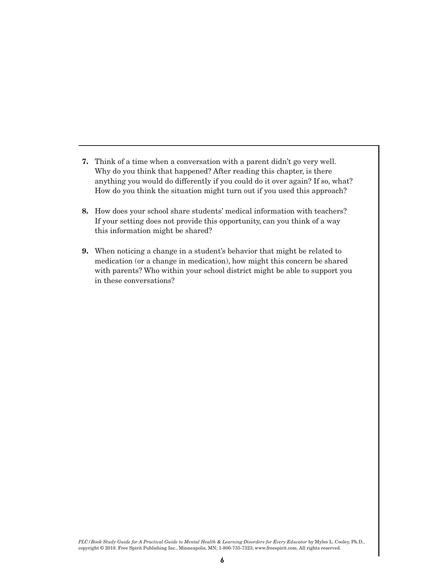- **7.** Think of a time when a conversation with a parent didn't go very well. Why do you think that happened? After reading this chapter, is there anything you would do differently if you could do it over again? If so, what? How do you think the situation might turn out if you used this approach?
- **8.** How does your school share students' medical information with teachers? If your setting does not provide this opportunity, can you think of a way this information might be shared?
- **9.** When noticing a change in a student's behavior that might be related to medication (or a change in medication), how might this concern be shared with parents? Who within your school district might be able to support you in these conversations?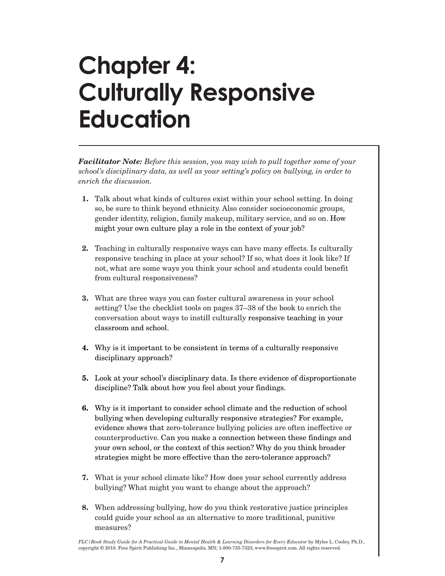# **Chapter 4: Culturally Responsive Education**

*Facilitator Note: Before this session, you may wish to pull together some of your school's disciplinary data, as well as your setting's policy on bullying, in order to enrich the discussion.*

- **1.** Talk about what kinds of cultures exist within your school setting. In doing so, be sure to think beyond ethnicity. Also consider socioeconomic groups, gender identity, religion, family makeup, military service, and so on. How might your own culture play a role in the context of your job?
- **2.** Teaching in culturally responsive ways can have many effects. Is culturally responsive teaching in place at your school? If so, what does it look like? If not, what are some ways you think your school and students could benefit from cultural responsiveness?
- **3.** What are three ways you can foster cultural awareness in your school setting? Use the checklist tools on pages 37–38 of the book to enrich the conversation about ways to instill culturally responsive teaching in your classroom and school.
- **4.** Why is it important to be consistent in terms of a culturally responsive disciplinary approach?
- **5.** Look at your school's disciplinary data. Is there evidence of disproportionate discipline? Talk about how you feel about your findings.
- **6.** Why is it important to consider school climate and the reduction of school bullying when developing culturally responsive strategies? For example, evidence shows that zero-tolerance bullying policies are often ineffective or counterproductive. Can you make a connection between these findings and your own school, or the context of this section? Why do you think broader strategies might be more effective than the zero-tolerance approach?
- **7.** What is your school climate like? How does your school currently address bullying? What might you want to change about the approach?
- **8.** When addressing bullying, how do you think restorative justice principles could guide your school as an alternative to more traditional, punitive measures?

*PLC/Book Study Guide for A Practical Guide to Mental Health & Learning Disorders for Every Educator* by Myles L. Cooley, Ph.D., copyright © 2018. Free Spirit Publishing Inc., Minneapolis, MN; 1-800-735-7323; www.freespirit.com. All rights reserved.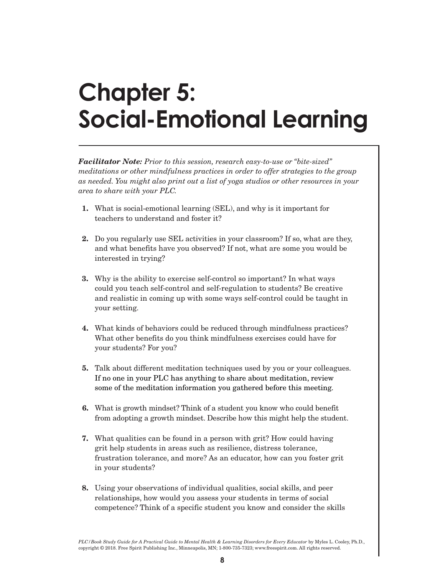# **Chapter 5: Social-Emotional Learning**

*Facilitator Note: Prior to this session, research easy-to-use or "bite-sized" meditations or other mindfulness practices in order to offer strategies to the group as needed. You might also print out a list of yoga studios or other resources in your area to share with your PLC.* 

- **1.** What is social-emotional learning (SEL), and why is it important for teachers to understand and foster it?
- **2.** Do you regularly use SEL activities in your classroom? If so, what are they, and what benefits have you observed? If not, what are some you would be interested in trying?
- **3.** Why is the ability to exercise self-control so important? In what ways could you teach self-control and self-regulation to students? Be creative and realistic in coming up with some ways self-control could be taught in your setting.
- **4.** What kinds of behaviors could be reduced through mindfulness practices? What other benefits do you think mindfulness exercises could have for your students? For you?
- **5.** Talk about different meditation techniques used by you or your colleagues. If no one in your PLC has anything to share about meditation, review some of the meditation information you gathered before this meeting.
- **6.** What is growth mindset? Think of a student you know who could benefit from adopting a growth mindset. Describe how this might help the student.
- **7.** What qualities can be found in a person with grit? How could having grit help students in areas such as resilience, distress tolerance, frustration tolerance, and more? As an educator, how can you foster grit in your students?
- **8.** Using your observations of individual qualities, social skills, and peer relationships, how would you assess your students in terms of social competence? Think of a specific student you know and consider the skills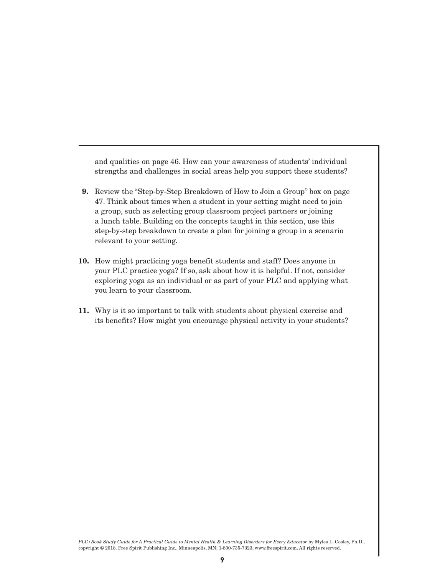and qualities on page 46. How can your awareness of students' individual strengths and challenges in social areas help you support these students?

- **9.** Review the "Step-by-Step Breakdown of How to Join a Group" box on page 47. Think about times when a student in your setting might need to join a group, such as selecting group classroom project partners or joining a lunch table. Building on the concepts taught in this section, use this step-by-step breakdown to create a plan for joining a group in a scenario relevant to your setting.
- **10.** How might practicing yoga benefit students and staff? Does anyone in your PLC practice yoga? If so, ask about how it is helpful. If not, consider exploring yoga as an individual or as part of your PLC and applying what you learn to your classroom.
- **11.** Why is it so important to talk with students about physical exercise and its benefits? How might you encourage physical activity in your students?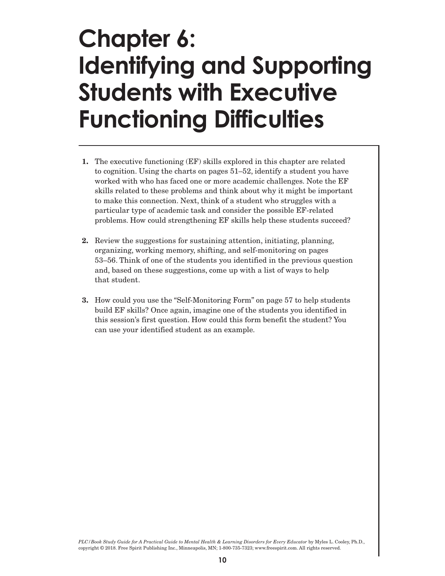#### **Chapter 6: Identifying and Supporting Students with Executive Functioning Difficulties**

- **1.** The executive functioning (EF) skills explored in this chapter are related to cognition. Using the charts on pages 51–52, identify a student you have worked with who has faced one or more academic challenges. Note the EF skills related to these problems and think about why it might be important to make this connection. Next, think of a student who struggles with a particular type of academic task and consider the possible EF-related problems. How could strengthening EF skills help these students succeed?
- **2.** Review the suggestions for sustaining attention, initiating, planning, organizing, working memory, shifting, and self-monitoring on pages 53–56. Think of one of the students you identified in the previous question and, based on these suggestions, come up with a list of ways to help that student.
- **3.** How could you use the "Self-Monitoring Form" on page 57 to help students build EF skills? Once again, imagine one of the students you identified in this session's first question. How could this form benefit the student? You can use your identified student as an example.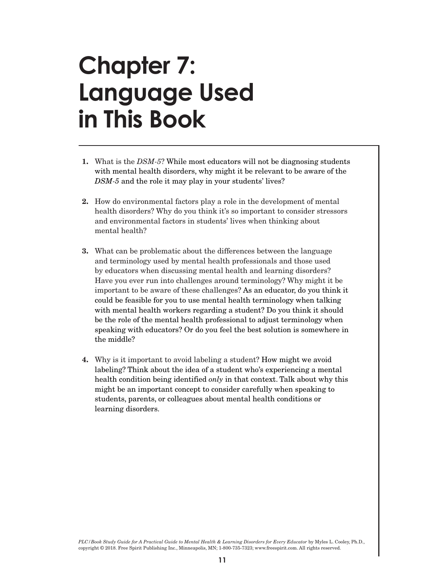### **Chapter 7: Language Used in This Book**

- **1.** What is the *DSM-5*? While most educators will not be diagnosing students with mental health disorders, why might it be relevant to be aware of the *DSM-5* and the role it may play in your students' lives?
- **2.** How do environmental factors play a role in the development of mental health disorders? Why do you think it's so important to consider stressors and environmental factors in students' lives when thinking about mental health?
- **3.** What can be problematic about the differences between the language and terminology used by mental health professionals and those used by educators when discussing mental health and learning disorders? Have you ever run into challenges around terminology? Why might it be important to be aware of these challenges? As an educator, do you think it could be feasible for you to use mental health terminology when talking with mental health workers regarding a student? Do you think it should be the role of the mental health professional to adjust terminology when speaking with educators? Or do you feel the best solution is somewhere in the middle?
- **4.** Why is it important to avoid labeling a student? How might we avoid labeling? Think about the idea of a student who's experiencing a mental health condition being identified *only* in that context. Talk about why this might be an important concept to consider carefully when speaking to students, parents, or colleagues about mental health conditions or learning disorders.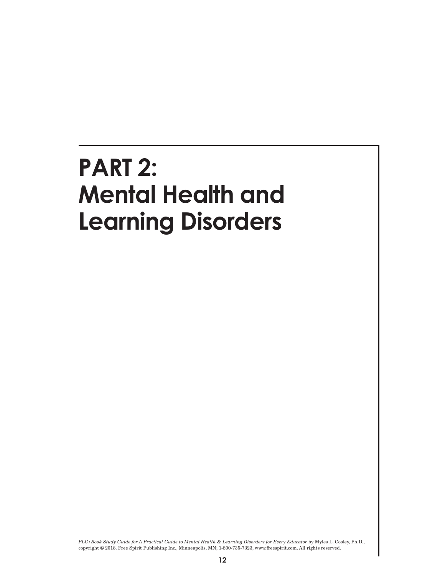#### **PART 2: Mental Health and Learning Disorders**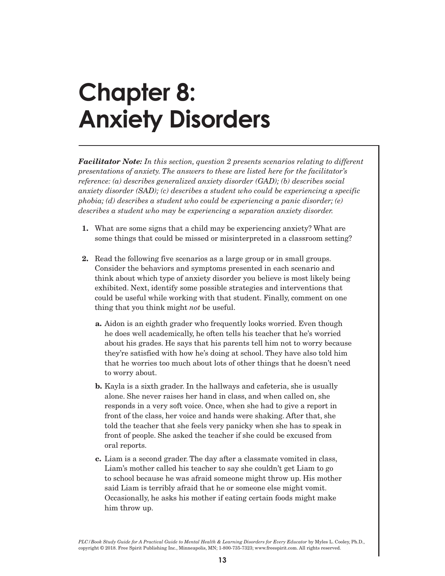### **Chapter 8: Anxiety Disorders**

*Facilitator Note: In this section, question 2 presents scenarios relating to different presentations of anxiety. The answers to these are listed here for the facilitator's reference: (a) describes generalized anxiety disorder (GAD); (b) describes social anxiety disorder (SAD); (c) describes a student who could be experiencing a specific phobia; (d) describes a student who could be experiencing a panic disorder; (e) describes a student who may be experiencing a separation anxiety disorder.* 

- **1.** What are some signs that a child may be experiencing anxiety? What are some things that could be missed or misinterpreted in a classroom setting?
- **2.** Read the following five scenarios as a large group or in small groups. Consider the behaviors and symptoms presented in each scenario and think about which type of anxiety disorder you believe is most likely being exhibited. Next, identify some possible strategies and interventions that could be useful while working with that student. Finally, comment on one thing that you think might *not* be useful.
	- **a.** Aidon is an eighth grader who frequently looks worried. Even though he does well academically, he often tells his teacher that he's worried about his grades. He says that his parents tell him not to worry because they're satisfied with how he's doing at school. They have also told him that he worries too much about lots of other things that he doesn't need to worry about.
	- **b.** Kayla is a sixth grader. In the hallways and cafeteria, she is usually alone. She never raises her hand in class, and when called on, she responds in a very soft voice. Once, when she had to give a report in front of the class, her voice and hands were shaking. After that, she told the teacher that she feels very panicky when she has to speak in front of people. She asked the teacher if she could be excused from oral reports.
	- **c.** Liam is a second grader. The day after a classmate vomited in class, Liam's mother called his teacher to say she couldn't get Liam to go to school because he was afraid someone might throw up. His mother said Liam is terribly afraid that he or someone else might vomit. Occasionally, he asks his mother if eating certain foods might make him throw up.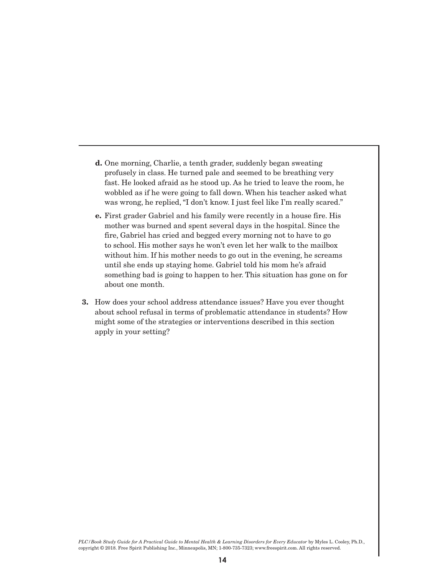- **d.** One morning, Charlie, a tenth grader, suddenly began sweating profusely in class. He turned pale and seemed to be breathing very fast. He looked afraid as he stood up. As he tried to leave the room, he wobbled as if he were going to fall down. When his teacher asked what was wrong, he replied, "I don't know. I just feel like I'm really scared."
- **e.** First grader Gabriel and his family were recently in a house fire. His mother was burned and spent several days in the hospital. Since the fire, Gabriel has cried and begged every morning not to have to go to school. His mother says he won't even let her walk to the mailbox without him. If his mother needs to go out in the evening, he screams until she ends up staying home. Gabriel told his mom he's afraid something bad is going to happen to her. This situation has gone on for about one month.
- **3.** How does your school address attendance issues? Have you ever thought about school refusal in terms of problematic attendance in students? How might some of the strategies or interventions described in this section apply in your setting?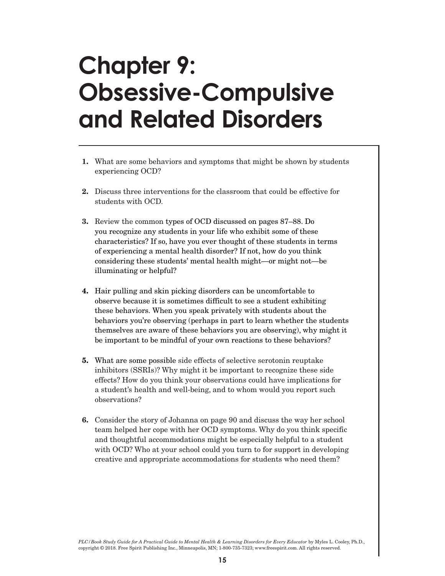### **Chapter 9: Obsessive-Compulsive and Related Disorders**

- **1.** What are some behaviors and symptoms that might be shown by students experiencing OCD?
- **2.** Discuss three interventions for the classroom that could be effective for students with OCD.
- **3.** Review the common types of OCD discussed on pages 87–88. Do you recognize any students in your life who exhibit some of these characteristics? If so, have you ever thought of these students in terms of experiencing a mental health disorder? If not, how do you think considering these students' mental health might—or might not—be illuminating or helpful?
- **4.** Hair pulling and skin picking disorders can be uncomfortable to observe because it is sometimes difficult to see a student exhibiting these behaviors. When you speak privately with students about the behaviors you're observing (perhaps in part to learn whether the students themselves are aware of these behaviors you are observing), why might it be important to be mindful of your own reactions to these behaviors?
- **5.** What are some possible side effects of selective serotonin reuptake inhibitors (SSRIs)? Why might it be important to recognize these side effects? How do you think your observations could have implications for a student's health and well-being, and to whom would you report such observations?
- **6.** Consider the story of Johanna on page 90 and discuss the way her school team helped her cope with her OCD symptoms. Why do you think specific and thoughtful accommodations might be especially helpful to a student with OCD? Who at your school could you turn to for support in developing creative and appropriate accommodations for students who need them?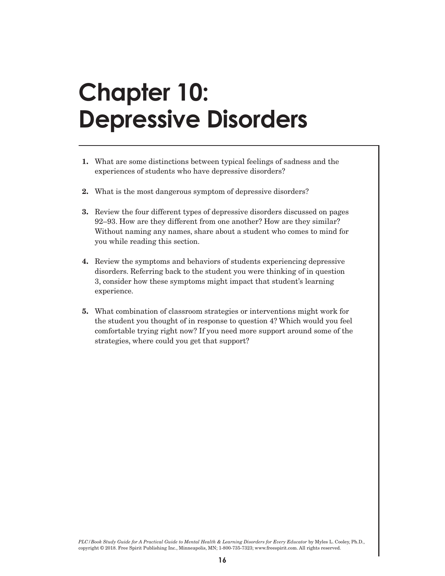### **Chapter 10: Depressive Disorders**

- **1.** What are some distinctions between typical feelings of sadness and the experiences of students who have depressive disorders?
- **2.** What is the most dangerous symptom of depressive disorders?
- **3.** Review the four different types of depressive disorders discussed on pages 92–93. How are they different from one another? How are they similar? Without naming any names, share about a student who comes to mind for you while reading this section.
- **4.** Review the symptoms and behaviors of students experiencing depressive disorders. Referring back to the student you were thinking of in question 3, consider how these symptoms might impact that student's learning experience.
- **5.** What combination of classroom strategies or interventions might work for the student you thought of in response to question 4? Which would you feel comfortable trying right now? If you need more support around some of the strategies, where could you get that support?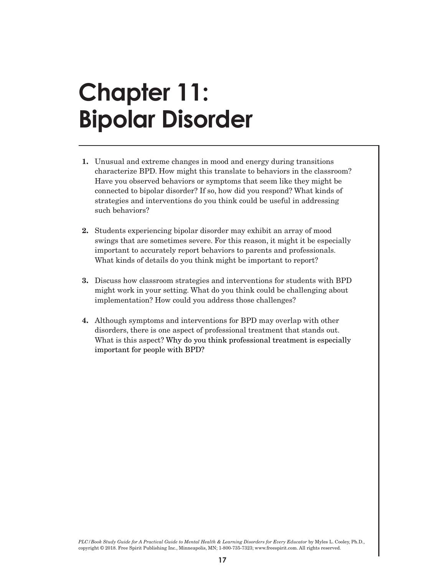#### **Chapter 11: Bipolar Disorder**

- **1.** Unusual and extreme changes in mood and energy during transitions characterize BPD. How might this translate to behaviors in the classroom? Have you observed behaviors or symptoms that seem like they might be connected to bipolar disorder? If so, how did you respond? What kinds of strategies and interventions do you think could be useful in addressing such behaviors?
- **2.** Students experiencing bipolar disorder may exhibit an array of mood swings that are sometimes severe. For this reason, it might it be especially important to accurately report behaviors to parents and professionals. What kinds of details do you think might be important to report?
- **3.** Discuss how classroom strategies and interventions for students with BPD might work in your setting. What do you think could be challenging about implementation? How could you address those challenges?
- **4.** Although symptoms and interventions for BPD may overlap with other disorders, there is one aspect of professional treatment that stands out. What is this aspect? Why do you think professional treatment is especially important for people with BPD?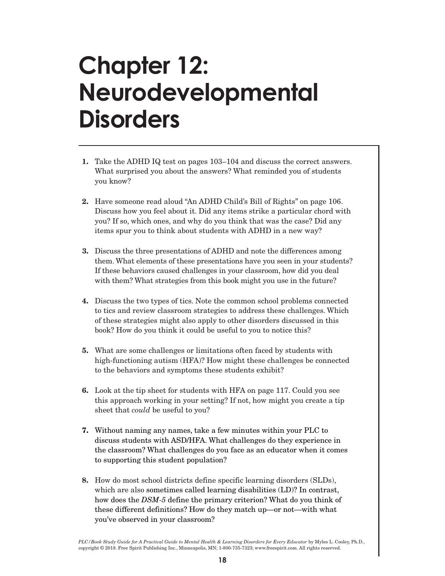#### **Chapter 12: Neurodevelopmental Disorders**

- **1.** Take the ADHD IQ test on pages 103–104 and discuss the correct answers. What surprised you about the answers? What reminded you of students you know?
- **2.** Have someone read aloud "An ADHD Child's Bill of Rights" on page 106. Discuss how you feel about it. Did any items strike a particular chord with you? If so, which ones, and why do you think that was the case? Did any items spur you to think about students with ADHD in a new way?
- **3.** Discuss the three presentations of ADHD and note the differences among them. What elements of these presentations have you seen in your students? If these behaviors caused challenges in your classroom, how did you deal with them? What strategies from this book might you use in the future?
- **4.** Discuss the two types of tics. Note the common school problems connected to tics and review classroom strategies to address these challenges. Which of these strategies might also apply to other disorders discussed in this book? How do you think it could be useful to you to notice this?
- **5.** What are some challenges or limitations often faced by students with high-functioning autism (HFA)? How might these challenges be connected to the behaviors and symptoms these students exhibit?
- **6.** Look at the tip sheet for students with HFA on page 117. Could you see this approach working in your setting? If not, how might you create a tip sheet that *could* be useful to you?
- **7.** Without naming any names, take a few minutes within your PLC to discuss students with ASD/HFA. What challenges do they experience in the classroom? What challenges do you face as an educator when it comes to supporting this student population?
- **8.** How do most school districts define specific learning disorders (SLDs), which are also sometimes called learning disabilities (LD)? In contrast, how does the *DSM-5* define the primary criterion? What do you think of these different definitions? How do they match up—or not—with what you've observed in your classroom?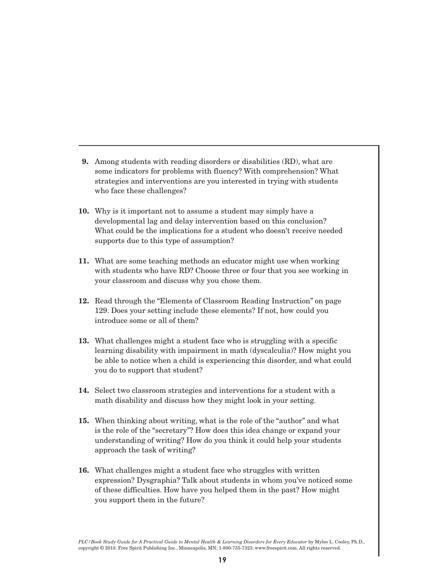- **9.** Among students with reading disorders or disabilities (RD), what are some indicators for problems with fluency? With comprehension? What strategies and interventions are you interested in trying with students who face these challenges?
- **10.** Why is it important not to assume a student may simply have a developmental lag and delay intervention based on this conclusion? What could be the implications for a student who doesn't receive needed supports due to this type of assumption?
- **11.** What are some teaching methods an educator might use when working with students who have RD? Choose three or four that you see working in your classroom and discuss why you chose them.
- **12.** Read through the "Elements of Classroom Reading Instruction" on page 129. Does your setting include these elements? If not, how could you introduce some or all of them?
- **13.** What challenges might a student face who is struggling with a specific learning disability with impairment in math (dyscalculia)? How might you be able to notice when a child is experiencing this disorder, and what could you do to support that student?
- **14.** Select two classroom strategies and interventions for a student with a math disability and discuss how they might look in your setting.
- **15.** When thinking about writing, what is the role of the "author" and what is the role of the "secretary"? How does this idea change or expand your understanding of writing? How do you think it could help your students approach the task of writing?
- **16.** What challenges might a student face who struggles with written expression? Dysgraphia? Talk about students in whom you've noticed some of these difficulties. How have you helped them in the past? How might you support them in the future?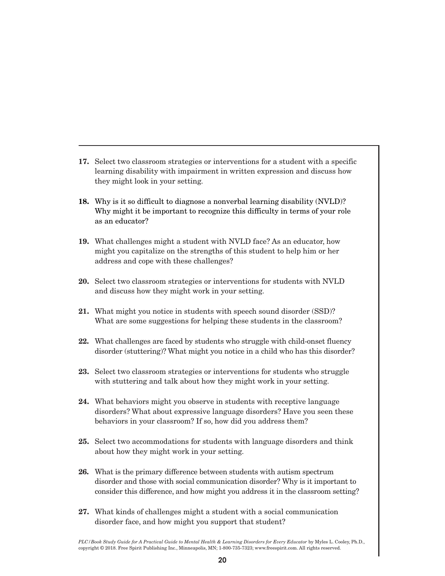- **17.** Select two classroom strategies or interventions for a student with a specific learning disability with impairment in written expression and discuss how they might look in your setting.
- **18.** Why is it so difficult to diagnose a nonverbal learning disability (NVLD)? Why might it be important to recognize this difficulty in terms of your role as an educator?
- **19.** What challenges might a student with NVLD face? As an educator, how might you capitalize on the strengths of this student to help him or her address and cope with these challenges?
- **20.** Select two classroom strategies or interventions for students with NVLD and discuss how they might work in your setting.
- **21.** What might you notice in students with speech sound disorder (SSD)? What are some suggestions for helping these students in the classroom?
- **22.** What challenges are faced by students who struggle with child-onset fluency disorder (stuttering)? What might you notice in a child who has this disorder?
- **23.** Select two classroom strategies or interventions for students who struggle with stuttering and talk about how they might work in your setting.
- **24.** What behaviors might you observe in students with receptive language disorders? What about expressive language disorders? Have you seen these behaviors in your classroom? If so, how did you address them?
- **25.** Select two accommodations for students with language disorders and think about how they might work in your setting.
- **26.** What is the primary difference between students with autism spectrum disorder and those with social communication disorder? Why is it important to consider this difference, and how might you address it in the classroom setting?
- **27.** What kinds of challenges might a student with a social communication disorder face, and how might you support that student?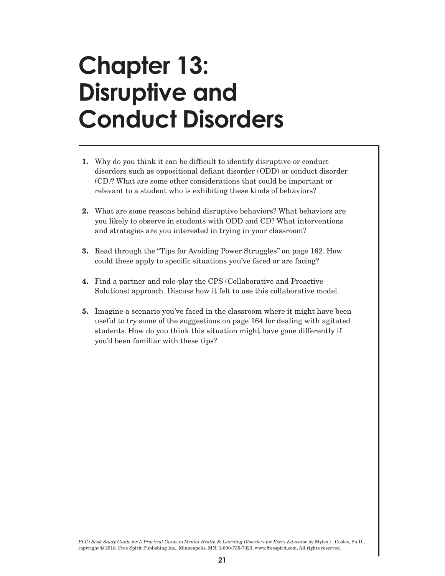#### **Chapter 13: Disruptive and Conduct Disorders**

- **1.** Why do you think it can be difficult to identify disruptive or conduct disorders such as oppositional defiant disorder (ODD) or conduct disorder (CD)? What are some other considerations that could be important or relevant to a student who is exhibiting these kinds of behaviors?
- **2.** What are some reasons behind disruptive behaviors? What behaviors are you likely to observe in students with ODD and CD? What interventions and strategies are you interested in trying in your classroom?
- **3.** Read through the "Tips for Avoiding Power Struggles" on page 162. How could these apply to specific situations you've faced or are facing?
- **4.** Find a partner and role-play the CPS (Collaborative and Proactive Solutions) approach. Discuss how it felt to use this collaborative model.
- **5.** Imagine a scenario you've faced in the classroom where it might have been useful to try some of the suggestions on page 164 for dealing with agitated students. How do you think this situation might have gone differently if you'd been familiar with these tips?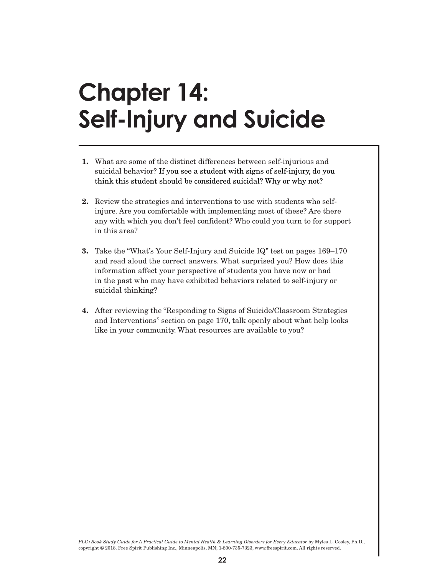# **Chapter 14: Self-Injury and Suicide**

- **1.** What are some of the distinct differences between self-injurious and suicidal behavior? If you see a student with signs of self-injury, do you think this student should be considered suicidal? Why or why not?
- **2.** Review the strategies and interventions to use with students who selfinjure. Are you comfortable with implementing most of these? Are there any with which you don't feel confident? Who could you turn to for support in this area?
- **3.** Take the "What's Your Self-Injury and Suicide IQ" test on pages 169–170 and read aloud the correct answers. What surprised you? How does this information affect your perspective of students you have now or had in the past who may have exhibited behaviors related to self-injury or suicidal thinking?
- **4.** After reviewing the "Responding to Signs of Suicide/Classroom Strategies and Interventions" section on page 170, talk openly about what help looks like in your community. What resources are available to you?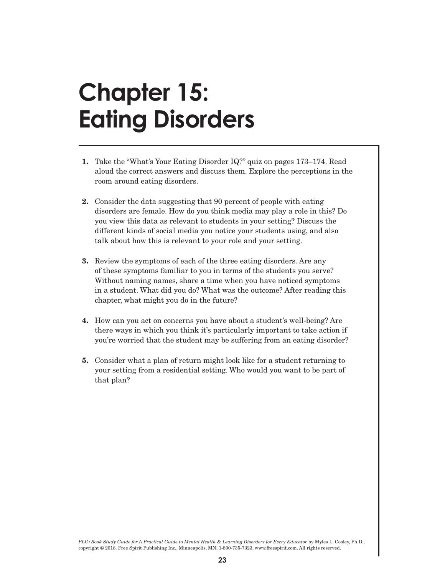### **Chapter 15: Eating Disorders**

- **1.** Take the "What's Your Eating Disorder IQ?" quiz on pages 173–174. Read aloud the correct answers and discuss them. Explore the perceptions in the room around eating disorders.
- **2.** Consider the data suggesting that 90 percent of people with eating disorders are female. How do you think media may play a role in this? Do you view this data as relevant to students in your setting? Discuss the different kinds of social media you notice your students using, and also talk about how this is relevant to your role and your setting.
- **3.** Review the symptoms of each of the three eating disorders. Are any of these symptoms familiar to you in terms of the students you serve? Without naming names, share a time when you have noticed symptoms in a student. What did you do? What was the outcome? After reading this chapter, what might you do in the future?
- **4.** How can you act on concerns you have about a student's well-being? Are there ways in which you think it's particularly important to take action if you're worried that the student may be suffering from an eating disorder?
- **5.** Consider what a plan of return might look like for a student returning to your setting from a residential setting. Who would you want to be part of that plan?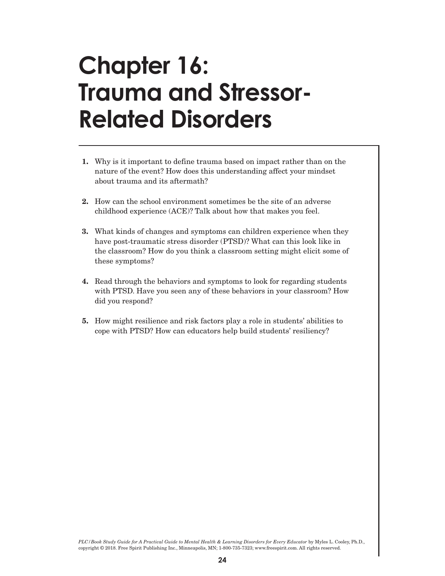### **Chapter 16: Trauma and Stressor-Related Disorders**

- **1.** Why is it important to define trauma based on impact rather than on the nature of the event? How does this understanding affect your mindset about trauma and its aftermath?
- **2.** How can the school environment sometimes be the site of an adverse childhood experience (ACE)? Talk about how that makes you feel.
- **3.** What kinds of changes and symptoms can children experience when they have post-traumatic stress disorder (PTSD)? What can this look like in the classroom? How do you think a classroom setting might elicit some of these symptoms?
- **4.** Read through the behaviors and symptoms to look for regarding students with PTSD. Have you seen any of these behaviors in your classroom? How did you respond?
- **5.** How might resilience and risk factors play a role in students' abilities to cope with PTSD? How can educators help build students' resiliency?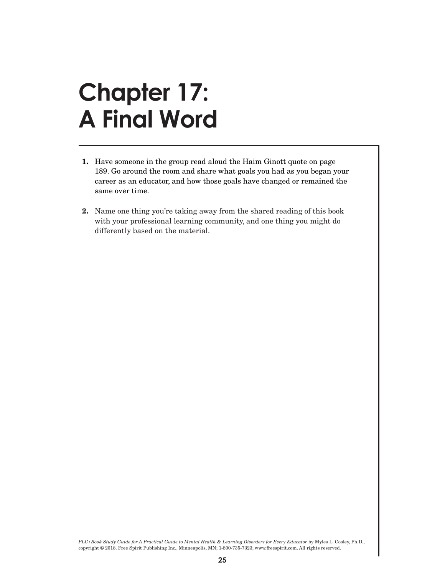### **Chapter 17: A Final Word**

- **1.** Have someone in the group read aloud the Haim Ginott quote on page 189. Go around the room and share what goals you had as you began your career as an educator, and how those goals have changed or remained the same over time.
- **2.** Name one thing you're taking away from the shared reading of this book with your professional learning community, and one thing you might do differently based on the material.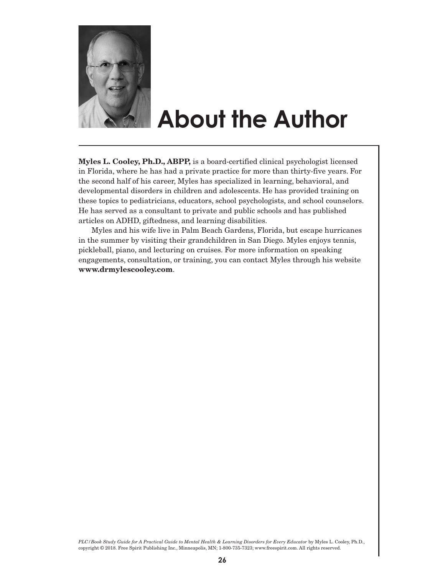

### **About the Author**

**Myles L. Cooley, Ph.D., ABPP,** is a board-certified clinical psychologist licensed in Florida, where he has had a private practice for more than thirty-five years. For the second half of his career, Myles has specialized in learning, behavioral, and developmental disorders in children and adolescents. He has provided training on these topics to pediatricians, educators, school psychologists, and school counselors. He has served as a consultant to private and public schools and has published articles on ADHD, giftedness, and learning disabilities.

Myles and his wife live in Palm Beach Gardens, Florida, but escape hurricanes in the summer by visiting their grandchildren in San Diego. Myles enjoys tennis, pickleball, piano, and lecturing on cruises. For more information on speaking engagements, consultation, or training, you can contact Myles through his website **www.drmylescooley.com**.